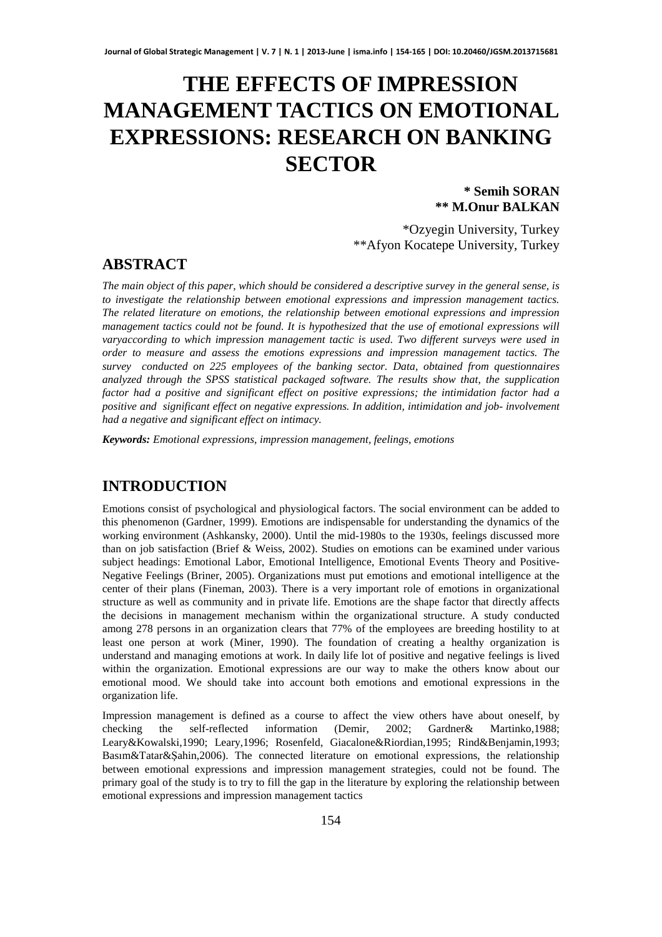# **THE EFFECTS OF IMPRESSION MANAGEMENT TACTICS ON EMOTIONAL EXPRESSIONS: RESEARCH ON BANKING SECTOR**

#### **\* Semih SORAN \*\* M.Onur BALKAN**

\*Ozyegin University, Turkey \*\*Afyon Kocatepe University, Turkey

# **ABSTRACT**

*The main object of this paper, which should be considered a descriptive survey in the general sense, is to investigate the relationship between emotional expressions and impression management tactics. The related literature on emotions, the relationship between emotional expressions and impression management tactics could not be found. It is hypothesized that the use of emotional expressions will varyaccording to which impression management tactic is used. Two different surveys were used in order to measure and assess the emotions expressions and impression management tactics. The survey conducted on 225 employees of the banking sector. Data, obtained from questionnaires analyzed through the SPSS statistical packaged software. The results show that, the supplication factor had a positive and significant effect on positive expressions; the intimidation factor had a positive and significant effect on negative expressions. In addition, intimidation and job- involvement had a negative and significant effect on intimacy.* 

*Keywords: Emotional expressions, impression management, feelings, emotions*

# **INTRODUCTION**

Emotions consist of psychological and physiological factors. The social environment can be added to this phenomenon (Gardner, 1999). Emotions are indispensable for understanding the dynamics of the working environment (Ashkansky, 2000). Until the mid-1980s to the 1930s, feelings discussed more than on job satisfaction (Brief & Weiss, 2002). Studies on emotions can be examined under various subject headings: Emotional Labor, Emotional Intelligence, Emotional Events Theory and Positive-Negative Feelings (Briner, 2005). Organizations must put emotions and emotional intelligence at the center of their plans (Fineman, 2003). There is a very important role of emotions in organizational structure as well as community and in private life. Emotions are the shape factor that directly affects the decisions in management mechanism within the organizational structure. A study conducted among 278 persons in an organization clears that 77% of the employees are breeding hostility to at least one person at work (Miner, 1990). The foundation of creating a healthy organization is understand and managing emotions at work. In daily life lot of positive and negative feelings is lived within the organization. Emotional expressions are our way to make the others know about our emotional mood. We should take into account both emotions and emotional expressions in the organization life.

Impression management is defined as a course to affect the view others have about oneself, by checking the self-reflected information (Demir, 2002; Gardner& Martinko,1988; Leary&Kowalski,1990; Leary,1996; Rosenfeld, Giacalone&Riordian,1995; Rind&Benjamin,1993; Basım&Tatar&Şahin,2006). The connected literature on emotional expressions, the relationship between emotional expressions and impression management strategies, could not be found. The primary goal of the study is to try to fill the gap in the literature by exploring the relationship between emotional expressions and impression management tactics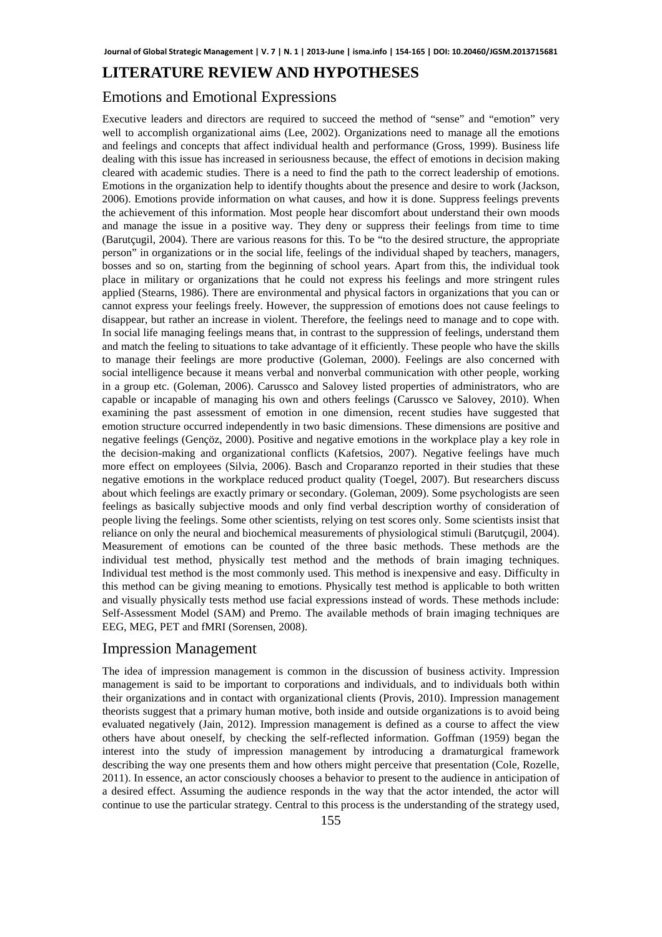## **LITERATURE REVIEW AND HYPOTHESES**

## Emotions and Emotional Expressions

Executive leaders and directors are required to succeed the method of "sense" and "emotion" very well to accomplish organizational aims (Lee, 2002). Organizations need to manage all the emotions and feelings and concepts that affect individual health and performance (Gross, 1999). Business life dealing with this issue has increased in seriousness because, the effect of emotions in decision making cleared with academic studies. There is a need to find the path to the correct leadership of emotions. Emotions in the organization help to identify thoughts about the presence and desire to work (Jackson, 2006). Emotions provide information on what causes, and how it is done. Suppress feelings prevents the achievement of this information. Most people hear discomfort about understand their own moods and manage the issue in a positive way. They deny or suppress their feelings from time to time (Barutçugil, 2004). There are various reasons for this. To be "to the desired structure, the appropriate person" in organizations or in the social life, feelings of the individual shaped by teachers, managers, bosses and so on, starting from the beginning of school years. Apart from this, the individual took place in military or organizations that he could not express his feelings and more stringent rules applied (Stearns, 1986). There are environmental and physical factors in organizations that you can or cannot express your feelings freely. However, the suppression of emotions does not cause feelings to disappear, but rather an increase in violent. Therefore, the feelings need to manage and to cope with. In social life managing feelings means that, in contrast to the suppression of feelings, understand them and match the feeling to situations to take advantage of it efficiently. These people who have the skills to manage their feelings are more productive (Goleman, 2000). Feelings are also concerned with social intelligence because it means verbal and nonverbal communication with other people, working in a group etc. (Goleman, 2006). Carussco and Salovey listed properties of administrators, who are capable or incapable of managing his own and others feelings (Carussco ve Salovey, 2010). When examining the past assessment of emotion in one dimension, recent studies have suggested that emotion structure occurred independently in two basic dimensions. These dimensions are positive and negative feelings (Gençöz, 2000). Positive and negative emotions in the workplace play a key role in the decision-making and organizational conflicts (Kafetsios, 2007). Negative feelings have much more effect on employees (Silvia, 2006). Basch and Croparanzo reported in their studies that these negative emotions in the workplace reduced product quality (Toegel, 2007). But researchers discuss about which feelings are exactly primary or secondary. (Goleman, 2009). Some psychologists are seen feelings as basically subjective moods and only find verbal description worthy of consideration of people living the feelings. Some other scientists, relying on test scores only. Some scientists insist that reliance on only the neural and biochemical measurements of physiological stimuli (Barutçugil, 2004). Measurement of emotions can be counted of the three basic methods. These methods are the individual test method, physically test method and the methods of brain imaging techniques. Individual test method is the most commonly used. This method is inexpensive and easy. Difficulty in this method can be giving meaning to emotions. Physically test method is applicable to both written and visually physically tests method use facial expressions instead of words. These methods include: Self-Assessment Model (SAM) and Premo. The available methods of brain imaging techniques are EEG, MEG, PET and fMRI (Sorensen, 2008).

#### Impression Management

The idea of impression management is common in the discussion of business activity. Impression management is said to be important to corporations and individuals, and to individuals both within their organizations and in contact with organizational clients (Provis, 2010). Impression management theorists suggest that a primary human motive, both inside and outside organizations is to avoid being evaluated negatively (Jain, 2012). Impression management is defined as a course to affect the view others have about oneself, by checking the self-reflected information. Goffman (1959) began the interest into the study of impression management by introducing a dramaturgical framework describing the way one presents them and how others might perceive that presentation (Cole, Rozelle, 2011). In essence, an actor consciously chooses a behavior to present to the audience in anticipation of a desired effect. Assuming the audience responds in the way that the actor intended, the actor will continue to use the particular strategy. Central to this process is the understanding of the strategy used,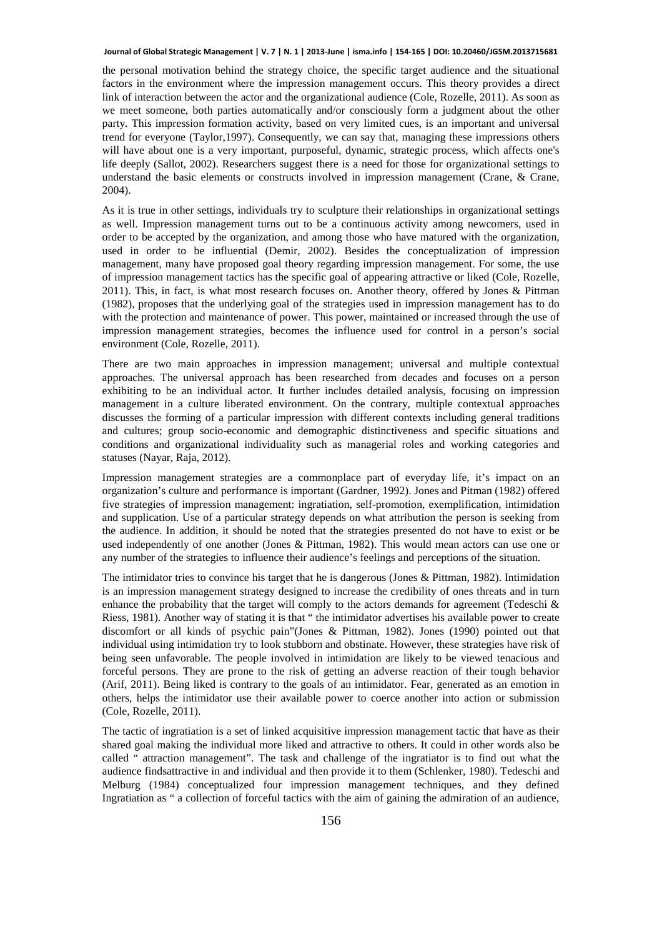#### **Journal of Global Strategic Management | V. 7 | N. 1 | 2013-June | isma.info | 154-165 | DOI: 10.20460/JGSM.2013715681**

the personal motivation behind the strategy choice, the specific target audience and the situational factors in the environment where the impression management occurs. This theory provides a direct link of interaction between the actor and the organizational audience (Cole, Rozelle, 2011). As soon as we meet someone, both parties automatically and/or consciously form a judgment about the other party. This impression formation activity, based on very limited cues, is an important and universal trend for everyone (Taylor,1997). Consequently, we can say that, managing these impressions others will have about one is a very important, purposeful, dynamic, strategic process, which affects one's life deeply (Sallot, 2002). Researchers suggest there is a need for those for organizational settings to understand the basic elements or constructs involved in impression management (Crane, & Crane, 2004).

As it is true in other settings, individuals try to sculpture their relationships in organizational settings as well. Impression management turns out to be a continuous activity among newcomers, used in order to be accepted by the organization, and among those who have matured with the organization, used in order to be influential (Demir, 2002). Besides the conceptualization of impression management, many have proposed goal theory regarding impression management. For some, the use of impression management tactics has the specific goal of appearing attractive or liked (Cole, Rozelle, 2011). This, in fact, is what most research focuses on. Another theory, offered by Jones & Pittman (1982), proposes that the underlying goal of the strategies used in impression management has to do with the protection and maintenance of power. This power, maintained or increased through the use of impression management strategies, becomes the influence used for control in a person's social environment (Cole, Rozelle, 2011).

There are two main approaches in impression management; universal and multiple contextual approaches. The universal approach has been researched from decades and focuses on a person exhibiting to be an individual actor. It further includes detailed analysis, focusing on impression management in a culture liberated environment. On the contrary, multiple contextual approaches discusses the forming of a particular impression with different contexts including general traditions and cultures; group socio-economic and demographic distinctiveness and specific situations and conditions and organizational individuality such as managerial roles and working categories and statuses (Nayar, Raja, 2012).

Impression management strategies are a commonplace part of everyday life, it's impact on an organization's culture and performance is important (Gardner, 1992). Jones and Pitman (1982) offered five strategies of impression management: ingratiation, self-promotion, exemplification, intimidation and supplication. Use of a particular strategy depends on what attribution the person is seeking from the audience. In addition, it should be noted that the strategies presented do not have to exist or be used independently of one another (Jones & Pittman, 1982). This would mean actors can use one or any number of the strategies to influence their audience's feelings and perceptions of the situation.

The intimidator tries to convince his target that he is dangerous (Jones & Pittman, 1982). Intimidation is an impression management strategy designed to increase the credibility of ones threats and in turn enhance the probability that the target will comply to the actors demands for agreement (Tedeschi  $\&$ Riess, 1981). Another way of stating it is that " the intimidator advertises his available power to create discomfort or all kinds of psychic pain"(Jones & Pittman, 1982). Jones (1990) pointed out that individual using intimidation try to look stubborn and obstinate. However, these strategies have risk of being seen unfavorable. The people involved in intimidation are likely to be viewed tenacious and forceful persons. They are prone to the risk of getting an adverse reaction of their tough behavior (Arif, 2011). Being liked is contrary to the goals of an intimidator. Fear, generated as an emotion in others, helps the intimidator use their available power to coerce another into action or submission (Cole, Rozelle, 2011).

The tactic of ingratiation is a set of linked acquisitive impression management tactic that have as their shared goal making the individual more liked and attractive to others. It could in other words also be called " attraction management". The task and challenge of the ingratiator is to find out what the audience findsattractive in and individual and then provide it to them (Schlenker, 1980). Tedeschi and Melburg (1984) conceptualized four impression management techniques, and they defined Ingratiation as " a collection of forceful tactics with the aim of gaining the admiration of an audience,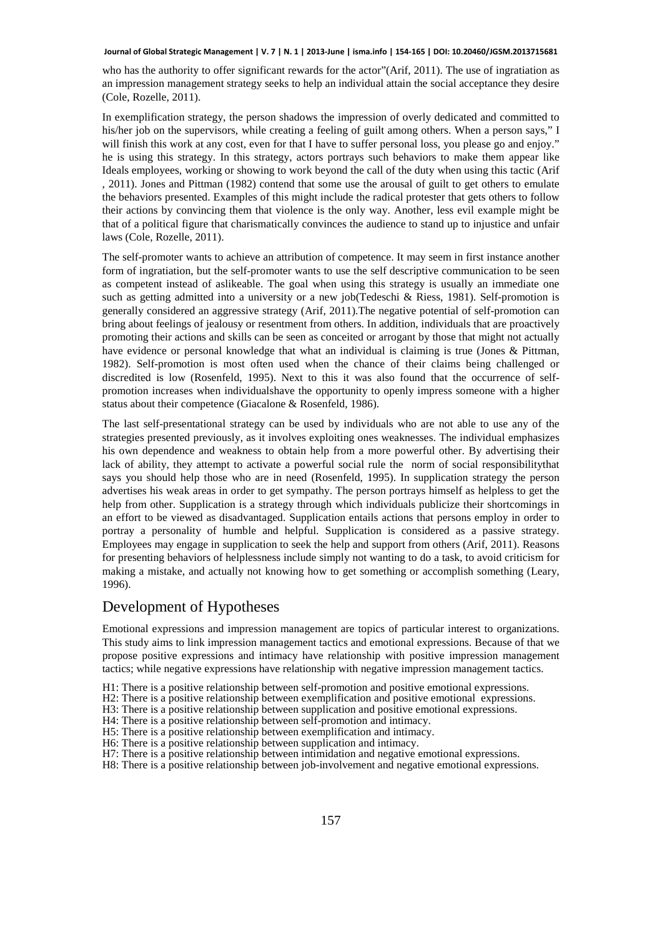#### **Journal of Global Strategic Management | V. 7 | N. 1 | 2013-June | isma.info | 154-165 | DOI: 10.20460/JGSM.2013715681**

who has the authority to offer significant rewards for the actor"(Arif, 2011). The use of ingratiation as an impression management strategy seeks to help an individual attain the social acceptance they desire (Cole, Rozelle, 2011).

In exemplification strategy, the person shadows the impression of overly dedicated and committed to his/her job on the supervisors, while creating a feeling of guilt among others. When a person says," I will finish this work at any cost, even for that I have to suffer personal loss, you please go and enjoy." he is using this strategy. In this strategy, actors portrays such behaviors to make them appear like Ideals employees, working or showing to work beyond the call of the duty when using this tactic (Arif , 2011). Jones and Pittman (1982) contend that some use the arousal of guilt to get others to emulate the behaviors presented. Examples of this might include the radical protester that gets others to follow their actions by convincing them that violence is the only way. Another, less evil example might be that of a political figure that charismatically convinces the audience to stand up to injustice and unfair laws (Cole, Rozelle, 2011).

The self-promoter wants to achieve an attribution of competence. It may seem in first instance another form of ingratiation, but the self-promoter wants to use the self descriptive communication to be seen as competent instead of aslikeable. The goal when using this strategy is usually an immediate one such as getting admitted into a university or a new job(Tedeschi & Riess, 1981). Self-promotion is generally considered an aggressive strategy (Arif, 2011).The negative potential of self-promotion can bring about feelings of jealousy or resentment from others. In addition, individuals that are proactively promoting their actions and skills can be seen as conceited or arrogant by those that might not actually have evidence or personal knowledge that what an individual is claiming is true (Jones & Pittman, 1982). Self-promotion is most often used when the chance of their claims being challenged or discredited is low (Rosenfeld, 1995). Next to this it was also found that the occurrence of selfpromotion increases when individualshave the opportunity to openly impress someone with a higher status about their competence (Giacalone & Rosenfeld, 1986).

The last self-presentational strategy can be used by individuals who are not able to use any of the strategies presented previously, as it involves exploiting ones weaknesses. The individual emphasizes his own dependence and weakness to obtain help from a more powerful other. By advertising their lack of ability, they attempt to activate a powerful social rule the norm of social responsibilitythat says you should help those who are in need (Rosenfeld, 1995). In supplication strategy the person advertises his weak areas in order to get sympathy. The person portrays himself as helpless to get the help from other. Supplication is a strategy through which individuals publicize their shortcomings in an effort to be viewed as disadvantaged. Supplication entails actions that persons employ in order to portray a personality of humble and helpful. Supplication is considered as a passive strategy. Employees may engage in supplication to seek the help and support from others (Arif, 2011). Reasons for presenting behaviors of helplessness include simply not wanting to do a task, to avoid criticism for making a mistake, and actually not knowing how to get something or accomplish something (Leary, 1996).

#### Development of Hypotheses

Emotional expressions and impression management are topics of particular interest to organizations. This study aims to link impression management tactics and emotional expressions. Because of that we propose positive expressions and intimacy have relationship with positive impression management tactics; while negative expressions have relationship with negative impression management tactics.

- H1: There is a positive relationship between self-promotion and positive emotional expressions.
- H2: There is a positive relationship between exemplification and positive emotional expressions.
- H3: There is a positive relationship between supplication and positive emotional expressions.
- H4: There is a positive relationship between self-promotion and intimacy.
- H5: There is a positive relationship between exemplification and intimacy.
- H6: There is a positive relationship between supplication and intimacy.
- H7: There is a positive relationship between intimidation and negative emotional expressions.
- H8: There is a positive relationship between job-involvement and negative emotional expressions.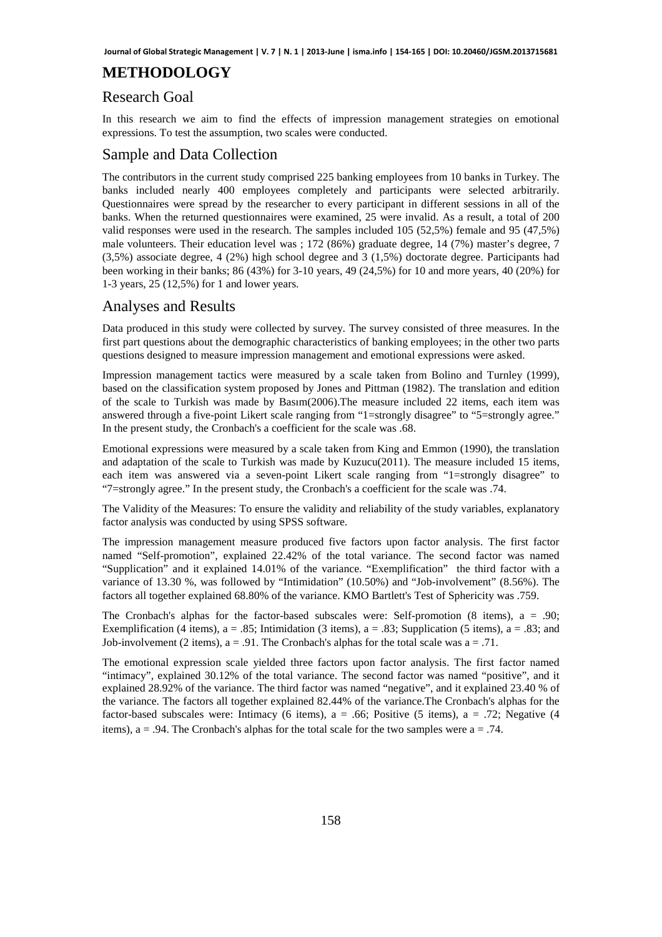# **METHODOLOGY**

#### Research Goal

In this research we aim to find the effects of impression management strategies on emotional expressions. To test the assumption, two scales were conducted.

#### Sample and Data Collection

The contributors in the current study comprised 225 banking employees from 10 banks in Turkey. The banks included nearly 400 employees completely and participants were selected arbitrarily. Questionnaires were spread by the researcher to every participant in different sessions in all of the banks. When the returned questionnaires were examined, 25 were invalid. As a result, a total of 200 valid responses were used in the research. The samples included 105 (52,5%) female and 95 (47,5%) male volunteers. Their education level was ; 172 (86%) graduate degree, 14 (7%) master's degree, 7 (3,5%) associate degree, 4 (2%) high school degree and 3 (1,5%) doctorate degree. Participants had been working in their banks; 86 (43%) for 3-10 years, 49 (24,5%) for 10 and more years, 40 (20%) for 1-3 years, 25 (12,5%) for 1 and lower years.

#### Analyses and Results

Data produced in this study were collected by survey. The survey consisted of three measures. In the first part questions about the demographic characteristics of banking employees; in the other two parts questions designed to measure impression management and emotional expressions were asked.

Impression management tactics were measured by a scale taken from Bolino and Turnley (1999), based on the classification system proposed by Jones and Pittman (1982). The translation and edition of the scale to Turkish was made by Basım(2006).The measure included 22 items, each item was answered through a five-point Likert scale ranging from "1=strongly disagree" to "5=strongly agree." In the present study, the Cronbach's a coefficient for the scale was .68.

Emotional expressions were measured by a scale taken from King and Emmon (1990), the translation and adaptation of the scale to Turkish was made by Kuzucu(2011). The measure included 15 items, each item was answered via a seven-point Likert scale ranging from "1=strongly disagree" to "7=strongly agree." In the present study, the Cronbach's a coefficient for the scale was .74.

The Validity of the Measures: To ensure the validity and reliability of the study variables, explanatory factor analysis was conducted by using SPSS software.

The impression management measure produced five factors upon factor analysis. The first factor named "Self-promotion", explained 22.42% of the total variance. The second factor was named "Supplication" and it explained 14.01% of the variance. "Exemplification" the third factor with a variance of 13.30 %, was followed by "Intimidation" (10.50%) and "Job-involvement" (8.56%). The factors all together explained 68.80% of the variance. KMO Bartlett's Test of Sphericity was .759.

The Cronbach's alphas for the factor-based subscales were: Self-promotion  $(8 \text{ items})$ ,  $a = .90$ ; Exemplification (4 items),  $a = .85$ ; Intimidation (3 items),  $a = .83$ ; Supplication (5 items),  $a = .83$ ; and Job-involvement (2 items),  $a = .91$ . The Cronbach's alphas for the total scale was  $a = .71$ .

The emotional expression scale yielded three factors upon factor analysis. The first factor named "intimacy", explained 30.12% of the total variance. The second factor was named "positive", and it explained 28.92% of the variance. The third factor was named "negative", and it explained 23.40 % of the variance. The factors all together explained 82.44% of the variance.The Cronbach's alphas for the factor-based subscales were: Intimacy (6 items),  $a = .66$ ; Positive (5 items),  $a = .72$ ; Negative (4 items),  $a = .94$ . The Cronbach's alphas for the total scale for the two samples were  $a = .74$ .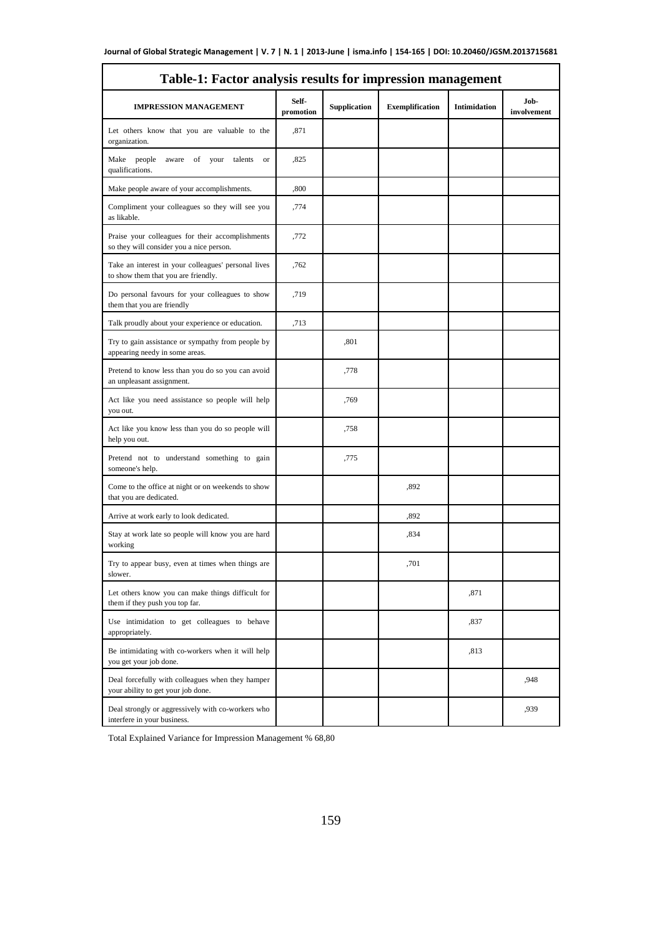| Table-1: Factor analysis results for impression management                                   |                    |              |                        |                     |                     |  |  |
|----------------------------------------------------------------------------------------------|--------------------|--------------|------------------------|---------------------|---------------------|--|--|
| <b>IMPRESSION MANAGEMENT</b>                                                                 | Self-<br>promotion | Supplication | <b>Exemplification</b> | <b>Intimidation</b> | Job-<br>involvement |  |  |
| Let others know that you are valuable to the<br>organization.                                | ,871               |              |                        |                     |                     |  |  |
| Make people<br>aware<br>of<br>your<br>talents<br><b>or</b><br>qualifications.                | ,825               |              |                        |                     |                     |  |  |
| Make people aware of your accomplishments.                                                   | ,800               |              |                        |                     |                     |  |  |
| Compliment your colleagues so they will see you<br>as likable.                               | ,774               |              |                        |                     |                     |  |  |
| Praise your colleagues for their accomplishments<br>so they will consider you a nice person. | ,772               |              |                        |                     |                     |  |  |
| Take an interest in your colleagues' personal lives<br>to show them that you are friendly.   | ,762               |              |                        |                     |                     |  |  |
| Do personal favours for your colleagues to show<br>them that you are friendly                | ,719               |              |                        |                     |                     |  |  |
| Talk proudly about your experience or education.                                             | ,713               |              |                        |                     |                     |  |  |
| Try to gain assistance or sympathy from people by<br>appearing needy in some areas.          |                    | ,801         |                        |                     |                     |  |  |
| Pretend to know less than you do so you can avoid<br>an unpleasant assignment.               |                    | ,778         |                        |                     |                     |  |  |
| Act like you need assistance so people will help<br>you out.                                 |                    | ,769         |                        |                     |                     |  |  |
| Act like you know less than you do so people will<br>help you out.                           |                    | ,758         |                        |                     |                     |  |  |
| Pretend not to understand something to gain<br>someone's help.                               |                    | ,775         |                        |                     |                     |  |  |
| Come to the office at night or on weekends to show<br>that you are dedicated.                |                    |              | ,892                   |                     |                     |  |  |
| Arrive at work early to look dedicated.                                                      |                    |              | ,892                   |                     |                     |  |  |
| Stay at work late so people will know you are hard<br>working                                |                    |              | ,834                   |                     |                     |  |  |
| Try to appear busy, even at times when things are<br>slower.                                 |                    |              | ,701                   |                     |                     |  |  |
| Let others know you can make things difficult for<br>them if they push you top far.          |                    |              |                        | ,871                |                     |  |  |
| Use intimidation to get colleagues to behave<br>appropriately.                               |                    |              |                        | ,837                |                     |  |  |
| Be intimidating with co-workers when it will help<br>you get your job done.                  |                    |              |                        | ,813                |                     |  |  |
| Deal forcefully with colleagues when they hamper<br>your ability to get your job done.       |                    |              |                        |                     | ,948                |  |  |
| Deal strongly or aggressively with co-workers who<br>interfere in your business.             |                    |              |                        |                     | ,939                |  |  |

Total Explained Variance for Impression Management % 68,80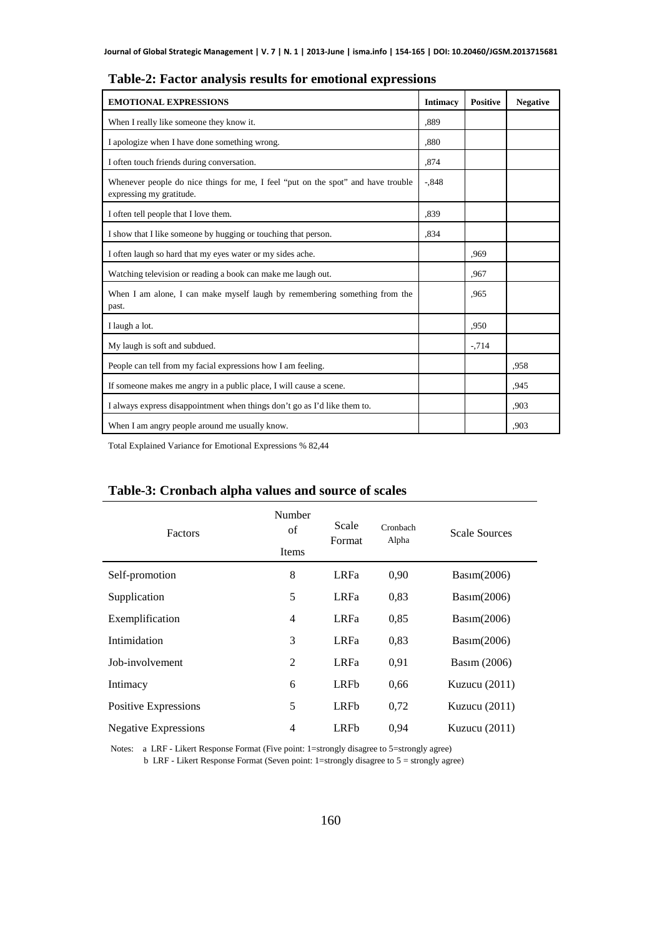| <b>EMOTIONAL EXPRESSIONS</b>                                                                                 | <b>Intimacy</b> | <b>Positive</b> | <b>Negative</b> |
|--------------------------------------------------------------------------------------------------------------|-----------------|-----------------|-----------------|
| When I really like someone they know it.                                                                     | .889            |                 |                 |
| I apologize when I have done something wrong.                                                                | ,880            |                 |                 |
| I often touch friends during conversation.                                                                   | .874            |                 |                 |
| Whenever people do nice things for me, I feel "put on the spot" and have trouble<br>expressing my gratitude. | $-.848$         |                 |                 |
| I often tell people that I love them.                                                                        | .839            |                 |                 |
| I show that I like someone by hugging or touching that person.                                               | .834            |                 |                 |
| I often laugh so hard that my eyes water or my sides ache.                                                   |                 | .969            |                 |
| Watching television or reading a book can make me laugh out.                                                 |                 | .967            |                 |
| When I am alone, I can make myself laugh by remembering something from the<br>past.                          |                 | .965            |                 |
| I laugh a lot.                                                                                               |                 | ,950            |                 |
| My laugh is soft and subdued.                                                                                |                 | $-714$          |                 |
| People can tell from my facial expressions how I am feeling.                                                 |                 |                 | .958            |
| If someone makes me angry in a public place, I will cause a scene.                                           |                 |                 | .945            |
| I always express disappointment when things don't go as I'd like them to.                                    |                 |                 | .903            |
| When I am angry people around me usually know.                                                               |                 |                 | .903            |

**Table-2: Factor analysis results for emotional expressions** 

Total Explained Variance for Emotional Expressions % 82,44

# **Table-3: Cronbach alpha values and source of scales**

| Factors                     | Number<br>of<br>Items | Scale<br>Format | Cronbach<br>Alpha | <b>Scale Sources</b> |
|-----------------------------|-----------------------|-----------------|-------------------|----------------------|
| Self-promotion              | 8                     | <b>LRFa</b>     | 0.90              | Basim(2006)          |
| Supplication                | 5                     | <b>LRFa</b>     | 0,83              | Basim(2006)          |
| Exemplification             | $\overline{4}$        | <b>LRFa</b>     | 0,85              | Basım(2006)          |
| Intimidation                | 3                     | <b>LRFa</b>     | 0,83              | Basim(2006)          |
| Job-involvement             | $\overline{2}$        | <b>LRFa</b>     | 0,91              | Basim (2006)         |
| Intimacy                    | 6                     | <b>LRFb</b>     | 0,66              | Kuzucu $(2011)$      |
| Positive Expressions        | 5                     | LRFb            | 0,72              | Kuzucu $(2011)$      |
| <b>Negative Expressions</b> | $\overline{4}$        | LRFb            | 0.94              | Kuzucu $(2011)$      |

Notes: a LRF - Likert Response Format (Five point: 1=strongly disagree to 5=strongly agree)

b LRF - Likert Response Format (Seven point: 1=strongly disagree to 5 = strongly agree)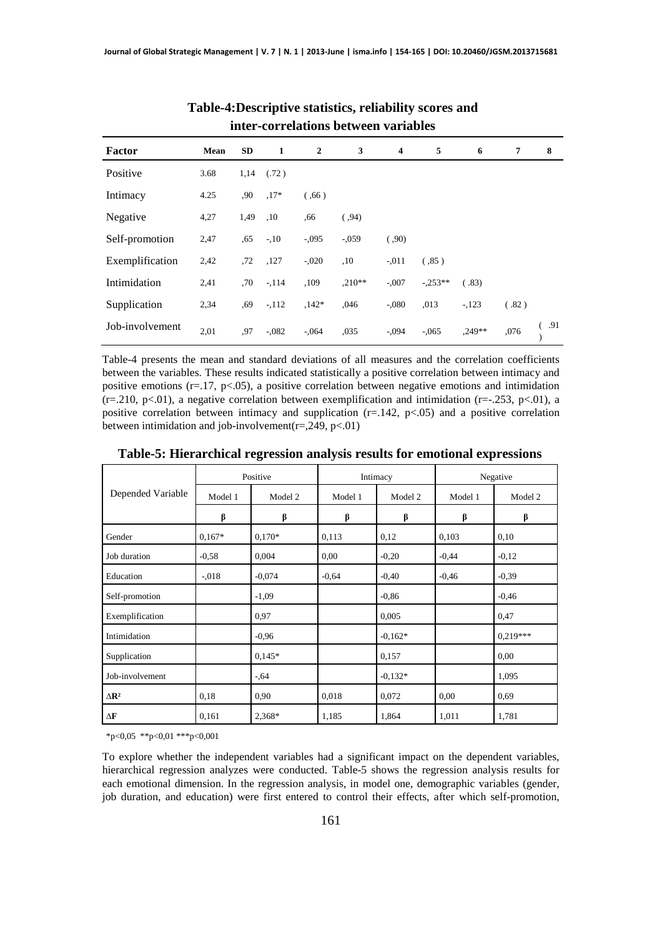| miei-confeiamons between variables |      |           |              |              |          |                         |           |          |                 |     |
|------------------------------------|------|-----------|--------------|--------------|----------|-------------------------|-----------|----------|-----------------|-----|
| Factor                             | Mean | <b>SD</b> | $\mathbf{1}$ | $\mathbf{2}$ | 3        | $\overline{\mathbf{4}}$ | 5         | 6        | $7\phantom{.0}$ | 8   |
| Positive                           | 3.68 | 1,14      | (.72)        |              |          |                         |           |          |                 |     |
| Intimacy                           | 4.25 | ,90       | $.17*$       | (0.66)       |          |                         |           |          |                 |     |
| Negative                           | 4,27 | 1,49      | ,10          | .66          | (.94)    |                         |           |          |                 |     |
| Self-promotion                     | 2,47 | ,65       | $-10$        | $-.095$      | $-.059$  | (.90)                   |           |          |                 |     |
| Exemplification                    | 2,42 | ,72       | ,127         | $-.020$      | ,10      | $-.011$                 | (.85)     |          |                 |     |
| Intimidation                       | 2,41 | .70       | $-114$       | ,109         | $,210**$ | $-.007$                 | $-.253**$ | (.83)    |                 |     |
| Supplication                       | 2,34 | ,69       | $-.112$      | $.142*$      | ,046     | $-.080$                 | ,013      | $-123$   | (.82)           |     |
| Job-involvement                    | 2,01 | ,97       | $-.082$      | $-.064$      | ,035     | $-.094$                 | $-0.065$  | $.249**$ | ,076            | .91 |

#### **Table-4:Descriptive statistics, reliability scores and inter-correlations between variables**

Table-4 presents the mean and standard deviations of all measures and the correlation coefficients between the variables. These results indicated statistically a positive correlation between intimacy and positive emotions ( $r=17$ ,  $p<05$ ), a positive correlation between negative emotions and intimidation  $(r=210, p<01)$ , a negative correlation between exemplification and intimidation  $(r=-253, p<01)$ , a positive correlation between intimacy and supplication  $(r=142, p<0.05)$  and a positive correlation between intimidation and job-involvement( $r = 0.249$ ,  $p < 01$ )

|                       | Positive |          |         | Intimacy  | Negative |            |
|-----------------------|----------|----------|---------|-----------|----------|------------|
| Depended Variable     | Model 1  | Model 2  | Model 1 | Model 2   | Model 1  | Model 2    |
|                       | β        | β        | β       | β         | β        | β          |
| Gender                | $0,167*$ | $0,170*$ | 0,113   | 0,12      | 0,103    | 0,10       |
| Job duration          | $-0.58$  | 0,004    | 0.00    | $-0,20$   | $-0,44$  | $-0,12$    |
| Education             | $-.018$  | $-0.074$ | $-0.64$ | $-0,40$   | $-0,46$  | $-0.39$    |
| Self-promotion        |          | $-1,09$  |         | $-0,86$   |          | $-0.46$    |
| Exemplification       |          | 0,97     |         | 0,005     |          | 0,47       |
| Intimidation          |          | $-0.96$  |         | $-0.162*$ |          | $0.219***$ |
| Supplication          |          | $0.145*$ |         | 0,157     |          | 0.00       |
| Job-involvement       |          | $-0.64$  |         | $-0.132*$ |          | 1,095      |
| $\Delta \mathbf{R}^2$ | 0,18     | 0,90     | 0,018   | 0,072     | 0,00     | 0,69       |
| $\Delta \mathbf{F}$   | 0.161    | 2,368*   | 1,185   | 1,864     | 1,011    | 1,781      |

**Table-5: Hierarchical regression analysis results for emotional expressions** 

 $*p<0,05$  \*\*p<0,01 \*\*\*p<0,001

To explore whether the independent variables had a significant impact on the dependent variables, hierarchical regression analyzes were conducted. Table-5 shows the regression analysis results for each emotional dimension. In the regression analysis, in model one, demographic variables (gender, job duration, and education) were first entered to control their effects, after which self-promotion,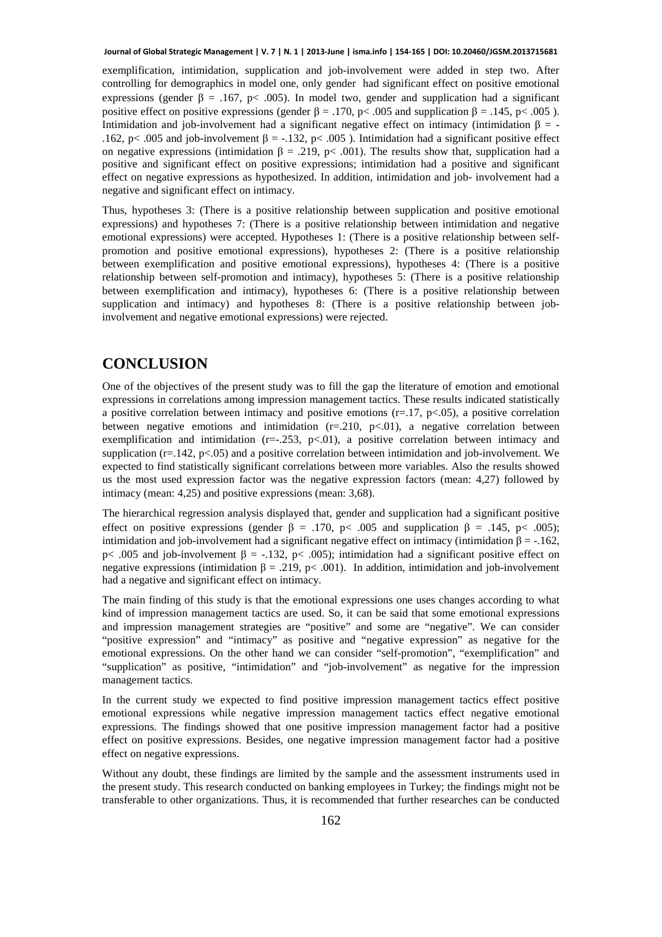exemplification, intimidation, supplication and job-involvement were added in step two. After controlling for demographics in model one, only gender had significant effect on positive emotional expressions (gender β = .167, p < .005). In model two, gender and supplication had a significant positive effect on positive expressions (gender  $\beta = .170$ , p< .005 and supplication  $\beta = .145$ , p< .005 ). Intimidation and job-involvement had a significant negative effect on intimacy (intimidation  $\beta = -$ .162, p< .005 and job-involvement  $\beta = -132$ , p< .005 ). Intimidation had a significant positive effect on negative expressions (intimidation  $\beta = .219$ , p< .001). The results show that, supplication had a positive and significant effect on positive expressions; intimidation had a positive and significant effect on negative expressions as hypothesized. In addition, intimidation and job- involvement had a negative and significant effect on intimacy.

Thus, hypotheses 3: (There is a positive relationship between supplication and positive emotional expressions) and hypotheses 7: (There is a positive relationship between intimidation and negative emotional expressions) were accepted. Hypotheses 1: (There is a positive relationship between selfpromotion and positive emotional expressions), hypotheses 2: (There is a positive relationship between exemplification and positive emotional expressions), hypotheses 4: (There is a positive relationship between self-promotion and intimacy), hypotheses 5: (There is a positive relationship between exemplification and intimacy), hypotheses 6: (There is a positive relationship between supplication and intimacy) and hypotheses 8: (There is a positive relationship between jobinvolvement and negative emotional expressions) were rejected.

# **CONCLUSION**

One of the objectives of the present study was to fill the gap the literature of emotion and emotional expressions in correlations among impression management tactics. These results indicated statistically a positive correlation between intimacy and positive emotions  $(r=17, p<0.05)$ , a positive correlation between negative emotions and intimidation  $(r=.210, p<.01)$ , a negative correlation between exemplification and intimidation  $(r=-1.253, p<0.01)$ , a positive correlation between intimacy and supplication ( $r=142$ ,  $p<05$ ) and a positive correlation between intimidation and job-involvement. We expected to find statistically significant correlations between more variables. Also the results showed us the most used expression factor was the negative expression factors (mean: 4,27) followed by intimacy (mean: 4,25) and positive expressions (mean: 3,68).

The hierarchical regression analysis displayed that, gender and supplication had a significant positive effect on positive expressions (gender  $\beta = .170$ , p $\lt$  .005 and supplication  $\beta = .145$ , p $\lt$  .005); intimidation and job-involvement had a significant negative effect on intimacy (intimidation  $β = -.162$ , p< .005 and job-involvement β = -.132, p< .005); intimidation had a significant positive effect on negative expressions (intimidation  $\beta = .219$ , p< .001). In addition, intimidation and job-involvement had a negative and significant effect on intimacy.

The main finding of this study is that the emotional expressions one uses changes according to what kind of impression management tactics are used. So, it can be said that some emotional expressions and impression management strategies are "positive" and some are "negative". We can consider "positive expression" and "intimacy" as positive and "negative expression" as negative for the emotional expressions. On the other hand we can consider "self-promotion", "exemplification" and "supplication" as positive, "intimidation" and "job-involvement" as negative for the impression management tactics.

In the current study we expected to find positive impression management tactics effect positive emotional expressions while negative impression management tactics effect negative emotional expressions. The findings showed that one positive impression management factor had a positive effect on positive expressions. Besides, one negative impression management factor had a positive effect on negative expressions.

Without any doubt, these findings are limited by the sample and the assessment instruments used in the present study. This research conducted on banking employees in Turkey; the findings might not be transferable to other organizations. Thus, it is recommended that further researches can be conducted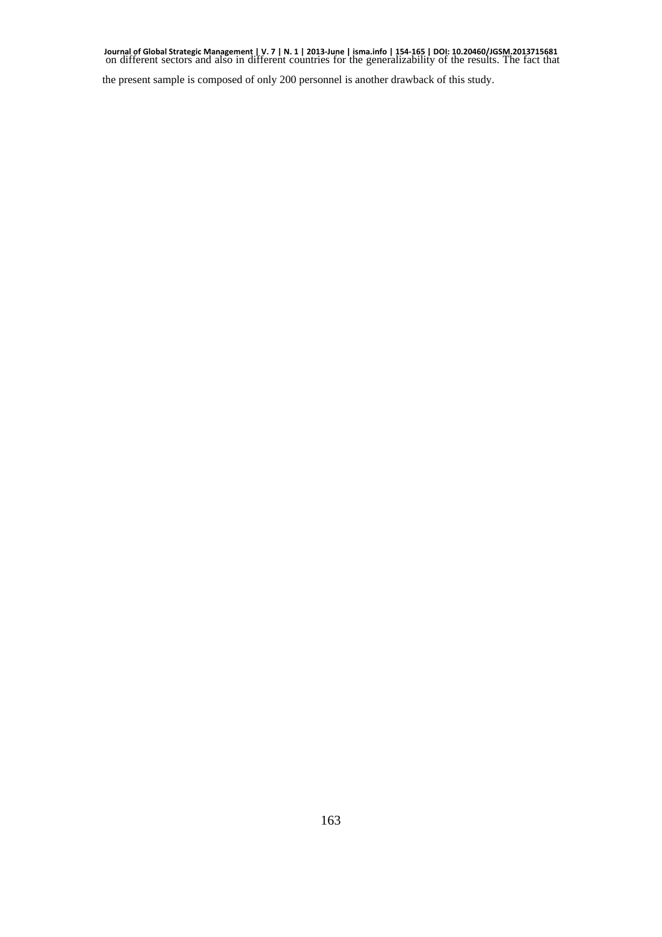Journal of Global Strategic Management | V. 7 | N. 1 | 2013-June | isma.info | 154-165 | DOI: 10.20460/JGSM.2013715681<br>on different sectors and also in different countries for the generalizability of the results. The fact

the present sample is composed of only 200 personnel is another drawback of this study.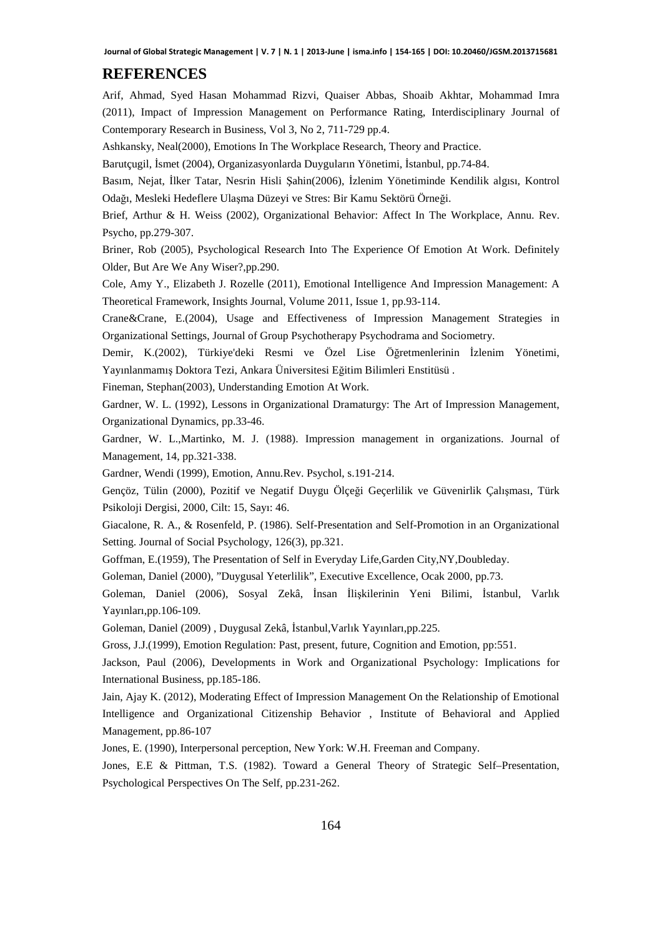### **REFERENCES**

Arif, Ahmad, Syed Hasan Mohammad Rizvi, Quaiser Abbas, Shoaib Akhtar, Mohammad Imra (2011), Impact of Impression Management on Performance Rating, Interdisciplinary Journal of Contemporary Research in Business, Vol 3, No 2, 711-729 pp.4.

Ashkansky, Neal(2000), Emotions In The Workplace Research, Theory and Practice.

Barutçugil, İsmet (2004), Organizasyonlarda Duyguların Yönetimi, İstanbul, pp.74-84.

Basım, Nejat, İlker Tatar, Nesrin Hisli Şahin(2006), İzlenim Yönetiminde Kendilik algısı, Kontrol Odağı, Mesleki Hedeflere Ulaşma Düzeyi ve Stres: Bir Kamu Sektörü Örneği.

Brief, Arthur & H. Weiss (2002), Organizational Behavior: Affect In The Workplace, Annu. Rev. Psycho, pp.279-307.

Briner, Rob (2005), Psychological Research Into The Experience Of Emotion At Work. Definitely Older, But Are We Any Wiser?,pp.290.

Cole, Amy Y., Elizabeth J. Rozelle (2011), Emotional Intelligence And Impression Management: A Theoretical Framework, Insights Journal, Volume 2011, Issue 1, pp.93-114.

Crane&Crane, E.(2004), Usage and Effectiveness of Impression Management Strategies in Organizational Settings, Journal of Group Psychotherapy Psychodrama and Sociometry.

Demir, K.(2002), Türkiye'deki Resmi ve Özel Lise Öğretmenlerinin İzlenim Yönetimi, Yayınlanmamış Doktora Tezi, Ankara Üniversitesi Eğitim Bilimleri Enstitüsü .

Fineman, Stephan(2003), Understanding Emotion At Work.

Gardner, W. L. (1992), Lessons in Organizational Dramaturgy: The Art of Impression Management, Organizational Dynamics, pp.33-46.

Gardner, W. L.,Martinko, M. J. (1988). Impression management in organizations. Journal of Management, 14, pp.321-338.

Gardner, Wendi (1999), Emotion, Annu.Rev. Psychol, s.191-214.

Gençöz, Tülin (2000), Pozitif ve Negatif Duygu Ölçeği Geçerlilik ve Güvenirlik Çalışması, Türk Psikoloji Dergisi, 2000, Cilt: 15, Sayı: 46.

Giacalone, R. A., & Rosenfeld, P. (1986). Self-Presentation and Self-Promotion in an Organizational Setting. Journal of Social Psychology, 126(3), pp.321.

Goffman, E.(1959), The Presentation of Self in Everyday Life,Garden City,NY,Doubleday.

Goleman, Daniel (2000), "Duygusal Yeterlilik", Executive Excellence, Ocak 2000, pp.73.

Goleman, Daniel (2006), Sosyal Zekâ, İnsan İlişkilerinin Yeni Bilimi, İstanbul, Varlık Yayınları,pp.106-109.

Goleman, Daniel (2009) , Duygusal Zekâ, İstanbul,Varlık Yayınları,pp.225.

Gross, J.J.(1999), Emotion Regulation: Past, present, future, Cognition and Emotion, pp:551.

Jackson, Paul (2006), Developments in Work and Organizational Psychology: Implications for International Business, pp.185-186.

Jain, Ajay K. (2012), Moderating Effect of Impression Management On the Relationship of Emotional Intelligence and Organizational Citizenship Behavior , Institute of Behavioral and Applied Management, pp.86-107

Jones, E. (1990), Interpersonal perception, New York: W.H. Freeman and Company.

Jones, E.E & Pittman, T.S. (1982). Toward a General Theory of Strategic Self–Presentation, Psychological Perspectives On The Self, pp.231-262.